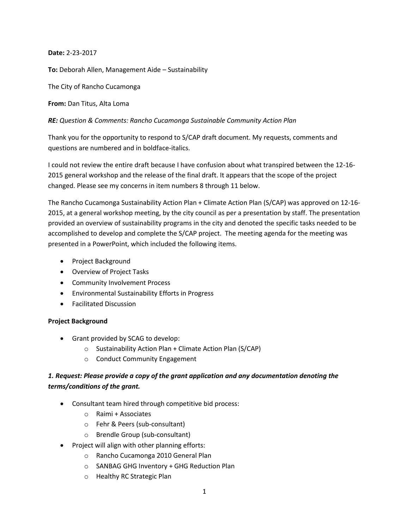**Date:** 2-23-2017

**To:** Deborah Allen, Management Aide – Sustainability

The City of Rancho Cucamonga

**From:** Dan Titus, Alta Loma

*RE: Question & Comments: Rancho Cucamonga Sustainable Community Action Plan*

Thank you for the opportunity to respond to S/CAP draft document. My requests, comments and questions are numbered and in boldface-italics.

I could not review the entire draft because I have confusion about what transpired between the 12-16- 2015 general workshop and the release of the final draft. It appears that the scope of the project changed. Please see my concerns in item numbers 8 through 11 below.

The Rancho Cucamonga Sustainability Action Plan + Climate Action Plan (S/CAP) was approved on 12-16- 2015, at a general workshop meeting, by the city council as per a presentation by staff. The presentation provided an overview of sustainability programs in the city and denoted the specific tasks needed to be accomplished to develop and complete the S/CAP project. The meeting agenda for the meeting was presented in a PowerPoint, which included the following items.

- Project Background
- Overview of Project Tasks
- Community Involvement Process
- Environmental Sustainability Efforts in Progress
- Facilitated Discussion

## **Project Background**

- Grant provided by SCAG to develop:
	- o Sustainability Action Plan + Climate Action Plan (S/CAP)
	- o Conduct Community Engagement

# *1. Request: Please provide a copy of the grant application and any documentation denoting the terms/conditions of the grant.*

- Consultant team hired through competitive bid process:
	- o Raimi + Associates
	- o Fehr & Peers (sub-consultant)
	- o Brendle Group (sub-consultant)
- Project will align with other planning efforts:
	- o Rancho Cucamonga 2010 General Plan
	- o SANBAG GHG Inventory + GHG Reduction Plan
	- o Healthy RC Strategic Plan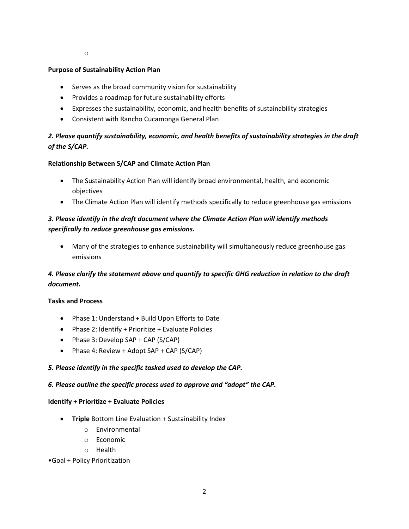o

#### **Purpose of Sustainability Action Plan**

- Serves as the broad community vision for sustainability
- Provides a roadmap for future sustainability efforts
- Expresses the sustainability, economic, and health benefits of sustainability strategies
- Consistent with Rancho Cucamonga General Plan

# *2. Please quantify sustainability, economic, and health benefits of sustainability strategies in the draft of the S/CAP.*

## **Relationship Between S/CAP and Climate Action Plan**

- The Sustainability Action Plan will identify broad environmental, health, and economic objectives
- The Climate Action Plan will identify methods specifically to reduce greenhouse gas emissions

## *3. Please identify in the draft document where the Climate Action Plan will identify methods specifically to reduce greenhouse gas emissions.*

 Many of the strategies to enhance sustainability will simultaneously reduce greenhouse gas emissions

# *4. Please clarify the statement above and quantify to specific GHG reduction in relation to the draft document.*

## **Tasks and Process**

- Phase 1: Understand + Build Upon Efforts to Date
- Phase 2: Identify + Prioritize + Evaluate Policies
- $\bullet$  Phase 3: Develop SAP + CAP (S/CAP)
- Phase 4: Review + Adopt  $SAP + CAP$  (S/CAP)

## *5. Please identify in the specific tasked used to develop the CAP.*

## *6. Please outline the specific process used to approve and "adopt" the CAP.*

#### **Identify + Prioritize + Evaluate Policies**

- **Triple** Bottom Line Evaluation + Sustainability Index
	- o Environmental
	- o Economic
	- o Health

#### •Goal + Policy Prioritization